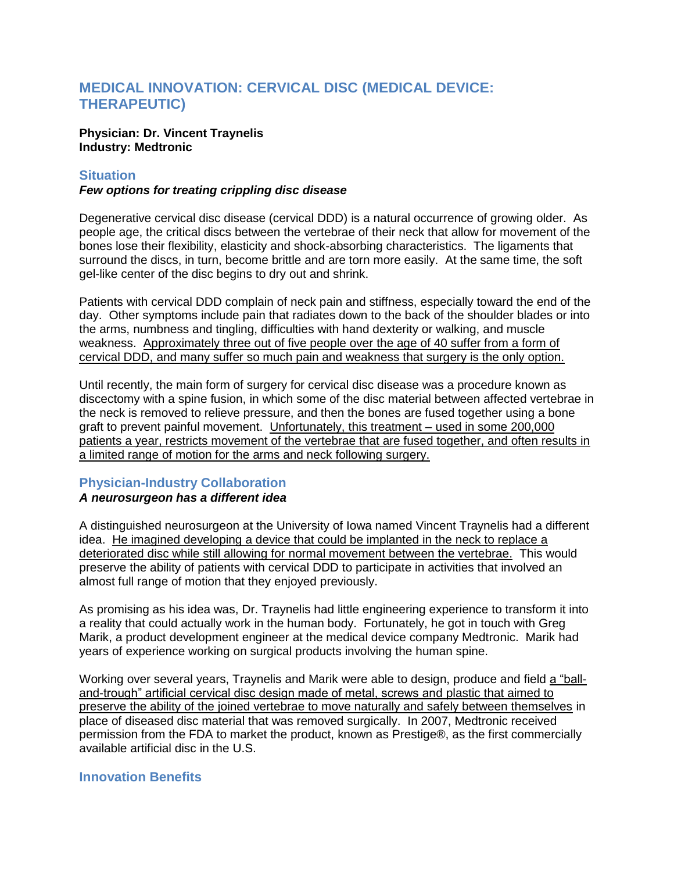## **MEDICAL INNOVATION: CERVICAL DISC (MEDICAL DEVICE: THERAPEUTIC)**

### **Physician: Dr. Vincent Traynelis Industry: Medtronic**

## **Situation**

## *Few options for treating crippling disc disease*

Degenerative cervical disc disease (cervical DDD) is a natural occurrence of growing older. As people age, the critical discs between the vertebrae of their neck that allow for movement of the bones lose their flexibility, elasticity and shock-absorbing characteristics. The ligaments that surround the discs, in turn, become brittle and are torn more easily. At the same time, the soft gel-like center of the disc begins to dry out and shrink.

Patients with cervical DDD complain of neck pain and stiffness, especially toward the end of the day. Other symptoms include pain that radiates down to the back of the shoulder blades or into the arms, numbness and tingling, difficulties with hand dexterity or walking, and muscle weakness. Approximately three out of five people over the age of 40 suffer from a form of cervical DDD, and many suffer so much pain and weakness that surgery is the only option.

Until recently, the main form of surgery for cervical disc disease was a procedure known as discectomy with a spine fusion, in which some of the disc material between affected vertebrae in the neck is removed to relieve pressure, and then the bones are fused together using a bone graft to prevent painful movement. Unfortunately, this treatment – used in some 200,000 patients a year, restricts movement of the vertebrae that are fused together, and often results in a limited range of motion for the arms and neck following surgery.

# **Physician-Industry Collaboration**

## *A neurosurgeon has a different idea*

A distinguished neurosurgeon at the University of Iowa named Vincent Traynelis had a different idea. He imagined developing a device that could be implanted in the neck to replace a deteriorated disc while still allowing for normal movement between the vertebrae. This would preserve the ability of patients with cervical DDD to participate in activities that involved an almost full range of motion that they enjoyed previously.

As promising as his idea was, Dr. Traynelis had little engineering experience to transform it into a reality that could actually work in the human body. Fortunately, he got in touch with Greg Marik, a product development engineer at the medical device company Medtronic. Marik had years of experience working on surgical products involving the human spine.

Working over several years, Traynelis and Marik were able to design, produce and field a "balland-trough" artificial cervical disc design made of metal, screws and plastic that aimed to preserve the ability of the joined vertebrae to move naturally and safely between themselves in place of diseased disc material that was removed surgically. In 2007, Medtronic received permission from the FDA to market the product, known as Prestige®, as the first commercially available artificial disc in the U.S.

## **Innovation Benefits**